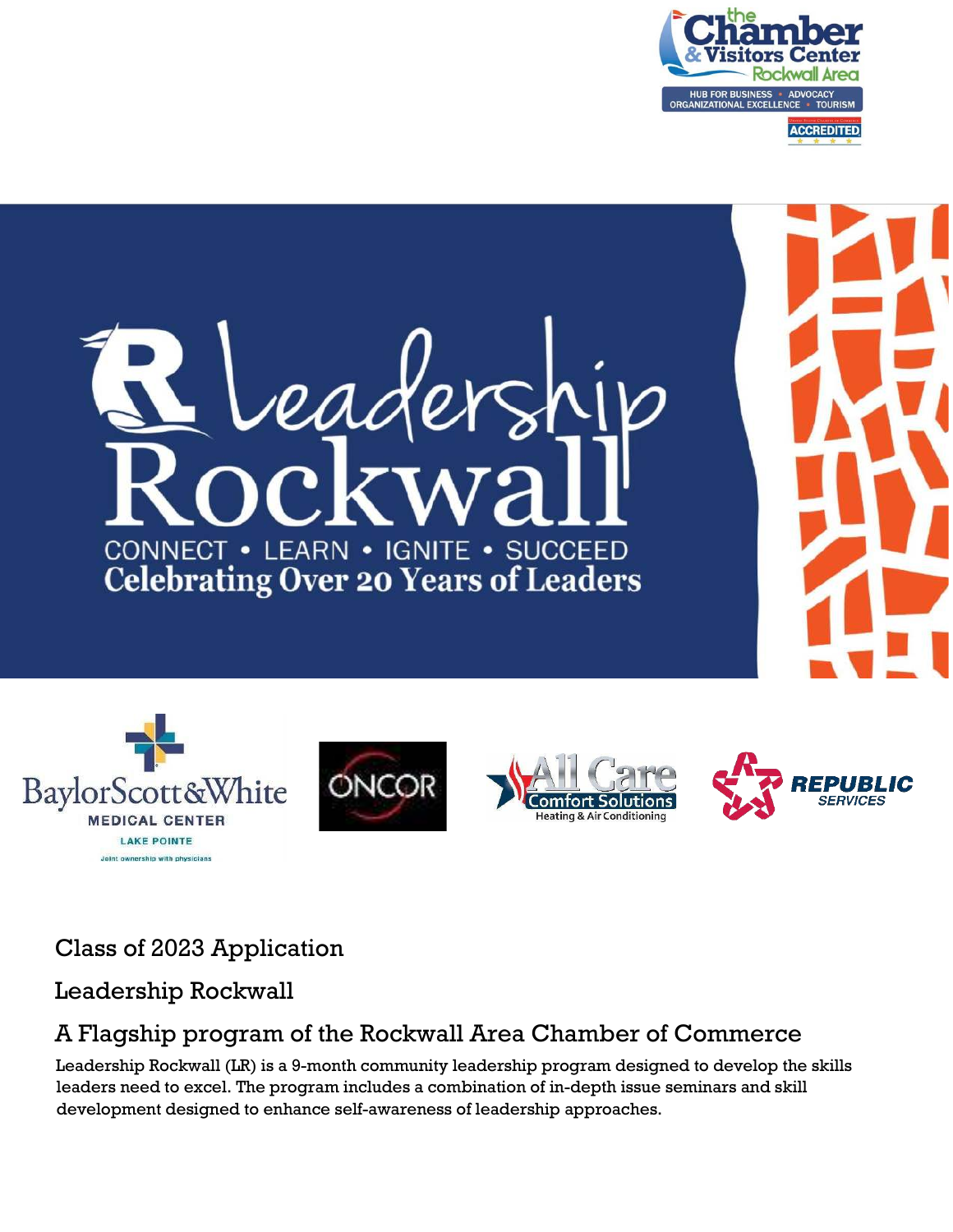











### Class of 2023 Application

#### Leadership Rockwall

### A Flagship program of the Rockwall Area Chamber of Commerce

Leadership Rockwall (LR) is a 9-month community leadership program designed to develop the skills leaders need to excel. The program includes a combination of in-depth issue seminars and skill development designed to enhance self-awareness of leadership approaches.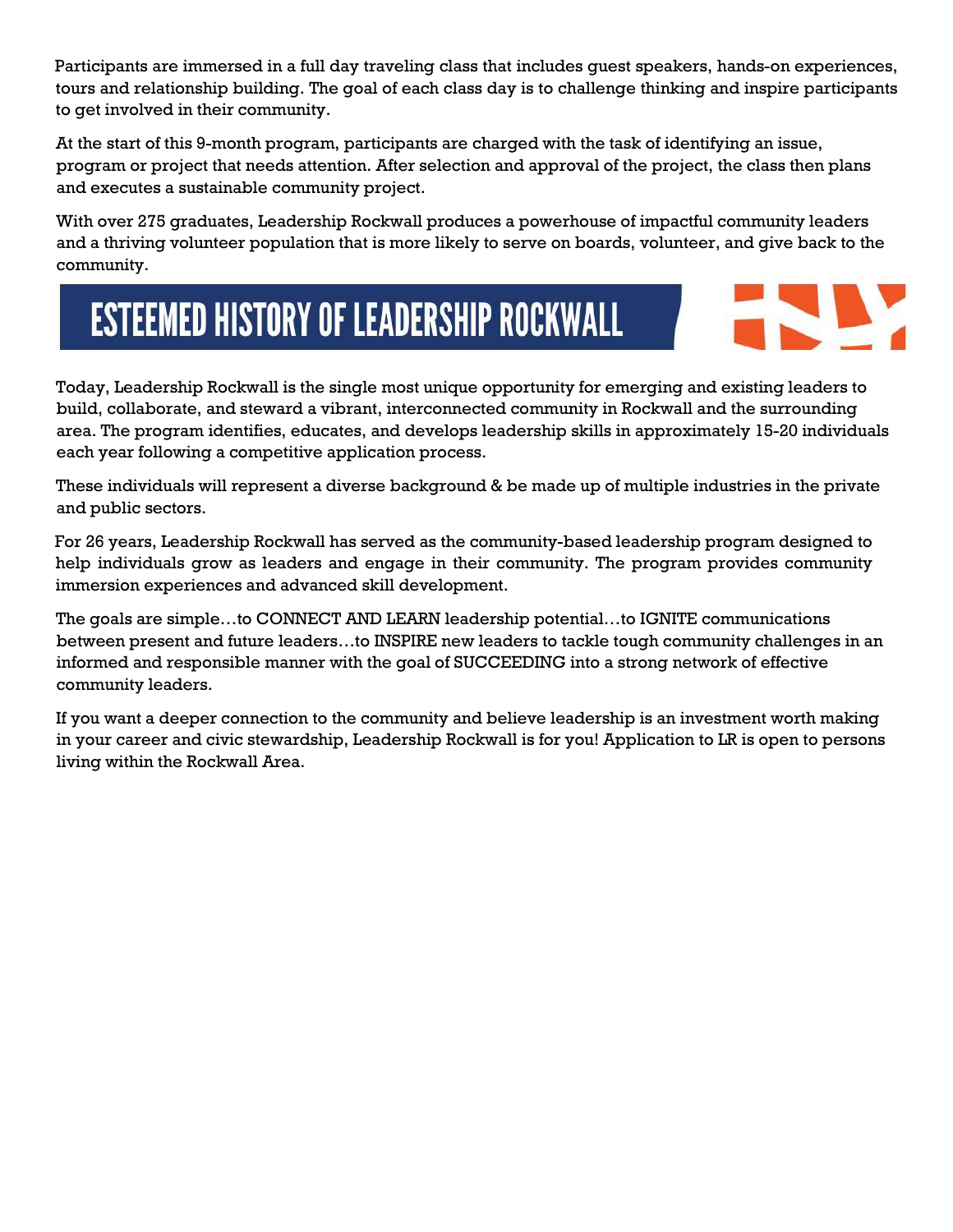Participants are immersed in a full day traveling class that includes guest speakers, hands-on experiences, tours and relationship building. The goal of each class day is to challenge thinking and inspire participants to get involved in their community.

At the start of this 9-month program, participants are charged with the task of identifying an issue, program or project that needs attention. After selection and approval of the project, the class then plans and executes a sustainable community project.

With over 275 graduates, Leadership Rockwall produces a powerhouse of impactful community leaders and a thriving volunteer population that is more likely to serve on boards, volunteer, and give back to the community.

# **ESTEEMED HISTORY OF LEADERSHIP ROCKWALL**



Today, Leadership Rockwall is the single most unique opportunity for emerging and existing leaders to build, collaborate, and steward a vibrant, interconnected community in Rockwall and the surrounding area. The program identifies, educates, and develops leadership skills in approximately 15-20 individuals each year following a competitive application process.

These individuals will represent a diverse background & be made up of multiple industries in the private and public sectors.

For 26 years, Leadership Rockwall has served as the community-based leadership program designed to help individuals grow as leaders and engage in their community. The program provides community immersion experiences and advanced skill development.

The goals are simple…to CONNECT AND LEARN leadership potential…to IGNITE communications between present and future leaders…to INSPIRE new leaders to tackle tough community challenges in an informed and responsible manner with the goal of SUCCEEDING into a strong network of effective community leaders.

If you want a deeper connection to the community and believe leadership is an investment worth making in your career and civic stewardship, Leadership Rockwall is for you! Application to LR is open to persons living within the Rockwall Area.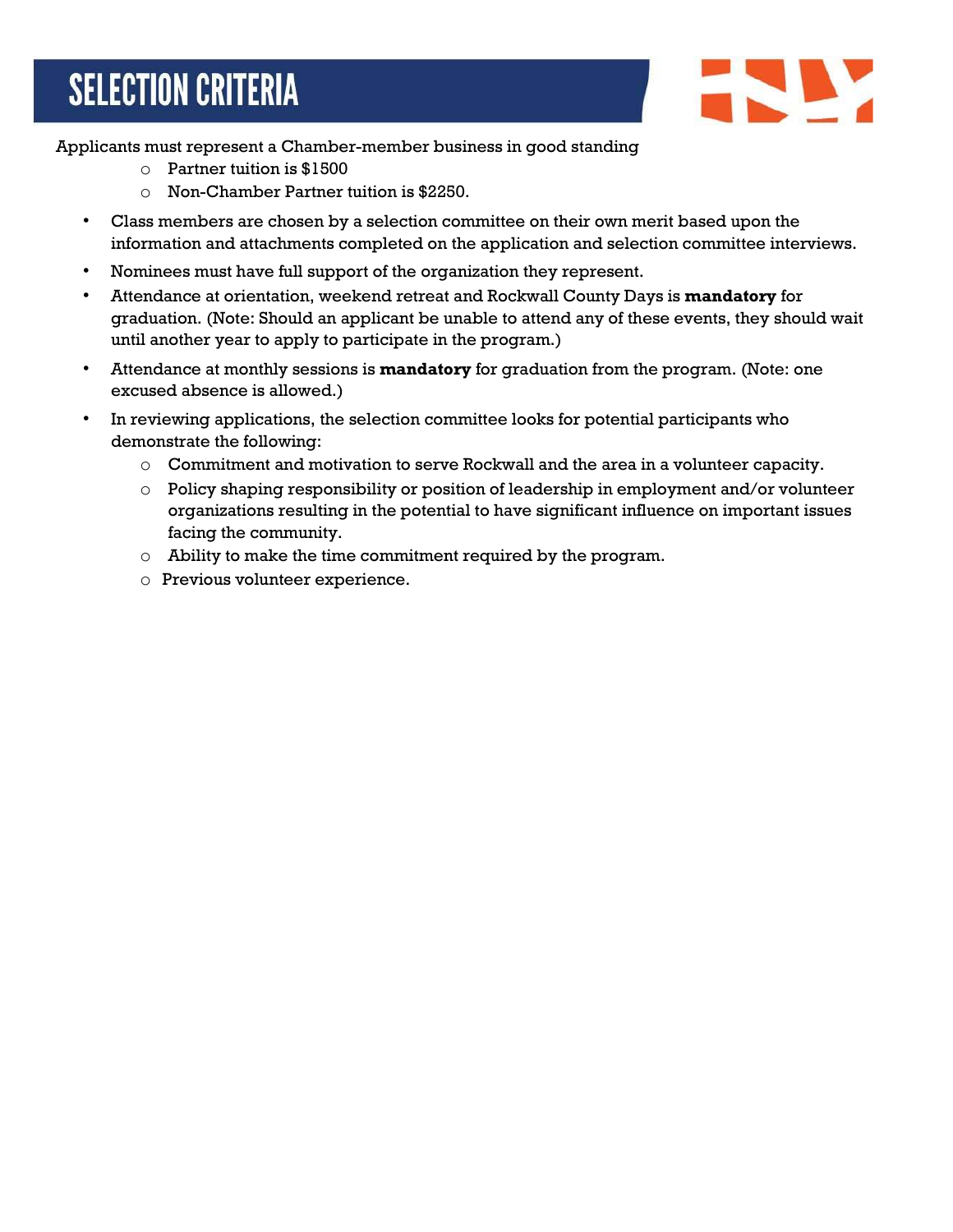## **SELECTION CRITERIA**



Applicants must represent a Chamber-member business in good standing

- o Partner tuition is \$1500
- o Non-Chamber Partner tuition is \$2250.
- Class members are chosen by a selection committee on their own merit based upon the information and attachments completed on the application and selection committee interviews.
- Nominees must have full support of the organization they represent.
- Attendance at orientation, weekend retreat and Rockwall County Days is **mandatory** for graduation. (Note: Should an applicant be unable to attend any of these events, they should wait until another year to apply to participate in the program.)
- Attendance at monthly sessions is **mandatory** for graduation from the program. (Note: one excused absence is allowed.)
- In reviewing applications, the selection committee looks for potential participants who demonstrate the following:
	- $\circ$  Commitment and motivation to serve Rockwall and the area in a volunteer capacity.
	- o Policy shaping responsibility or position of leadership in employment and/or volunteer organizations resulting in the potential to have significant influence on important issues facing the community.
	- o Ability to make the time commitment required by the program.
	- o Previous volunteer experience.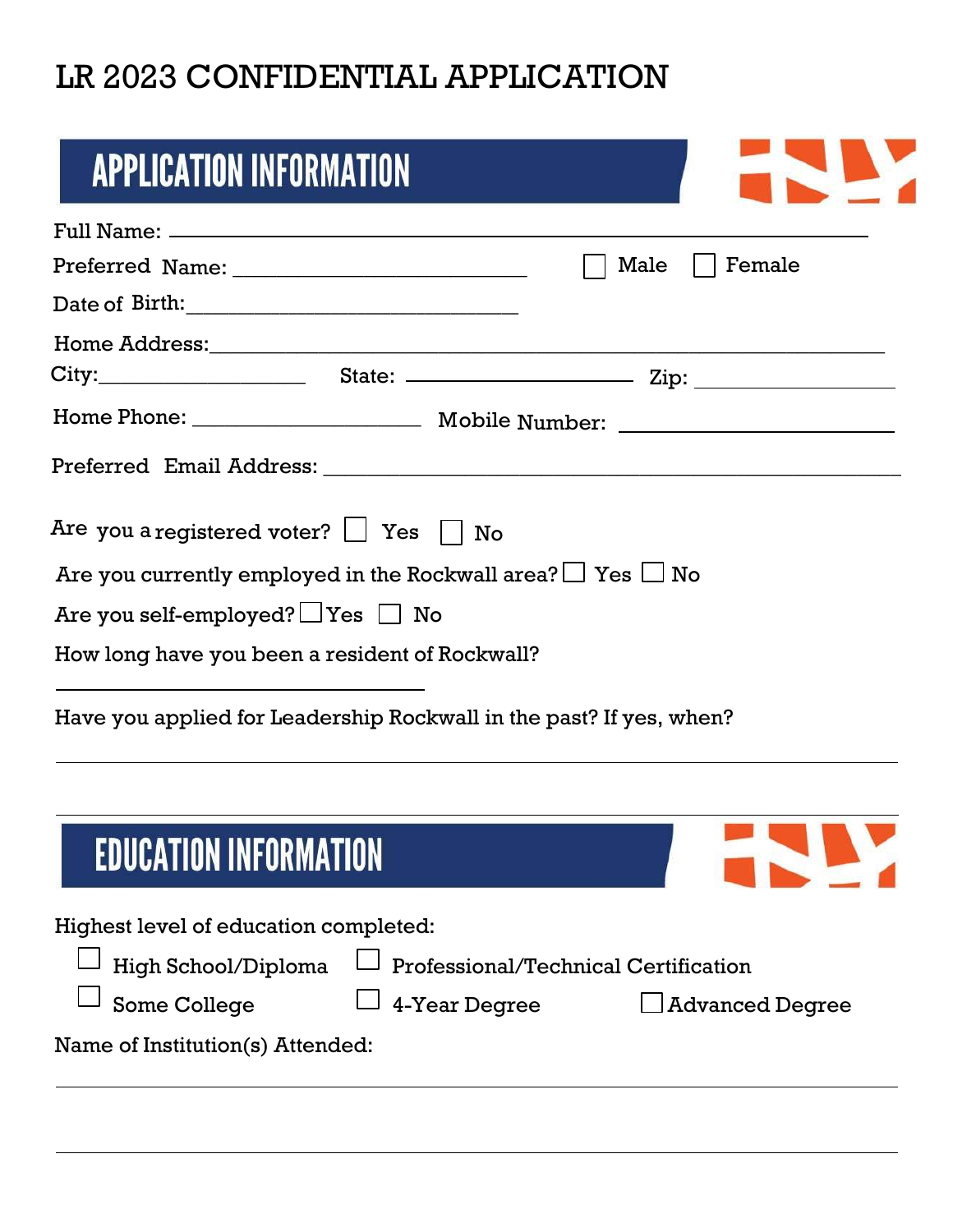### LR 2023 CONFIDENTIAL APPLICATION

| <b>APPLICATION INFORMATION</b>                                                                                                                                           |
|--------------------------------------------------------------------------------------------------------------------------------------------------------------------------|
|                                                                                                                                                                          |
| Female<br>Male                                                                                                                                                           |
|                                                                                                                                                                          |
|                                                                                                                                                                          |
|                                                                                                                                                                          |
|                                                                                                                                                                          |
|                                                                                                                                                                          |
| Are you a registered voter? $\Box$ Yes $\Box$ No<br>Are you currently employed in the Rockwall area? $\Box$ Yes $\Box$ No<br>Are you self-employed? $\Box$ Yes $\Box$ No |
| How long have you been a resident of Rockwall?                                                                                                                           |
| Have you applied for Leadership Rockwall in the past? If yes, when?                                                                                                      |
| <b>EDUCATION INFORMATION</b>                                                                                                                                             |
| Highest level of education completed:                                                                                                                                    |
| High School/Diploma<br>Professional/Technical Certification                                                                                                              |
| Some College<br>4-Year Degree<br><b>Advanced Degree</b>                                                                                                                  |
|                                                                                                                                                                          |

Name of Institution(s) Attended: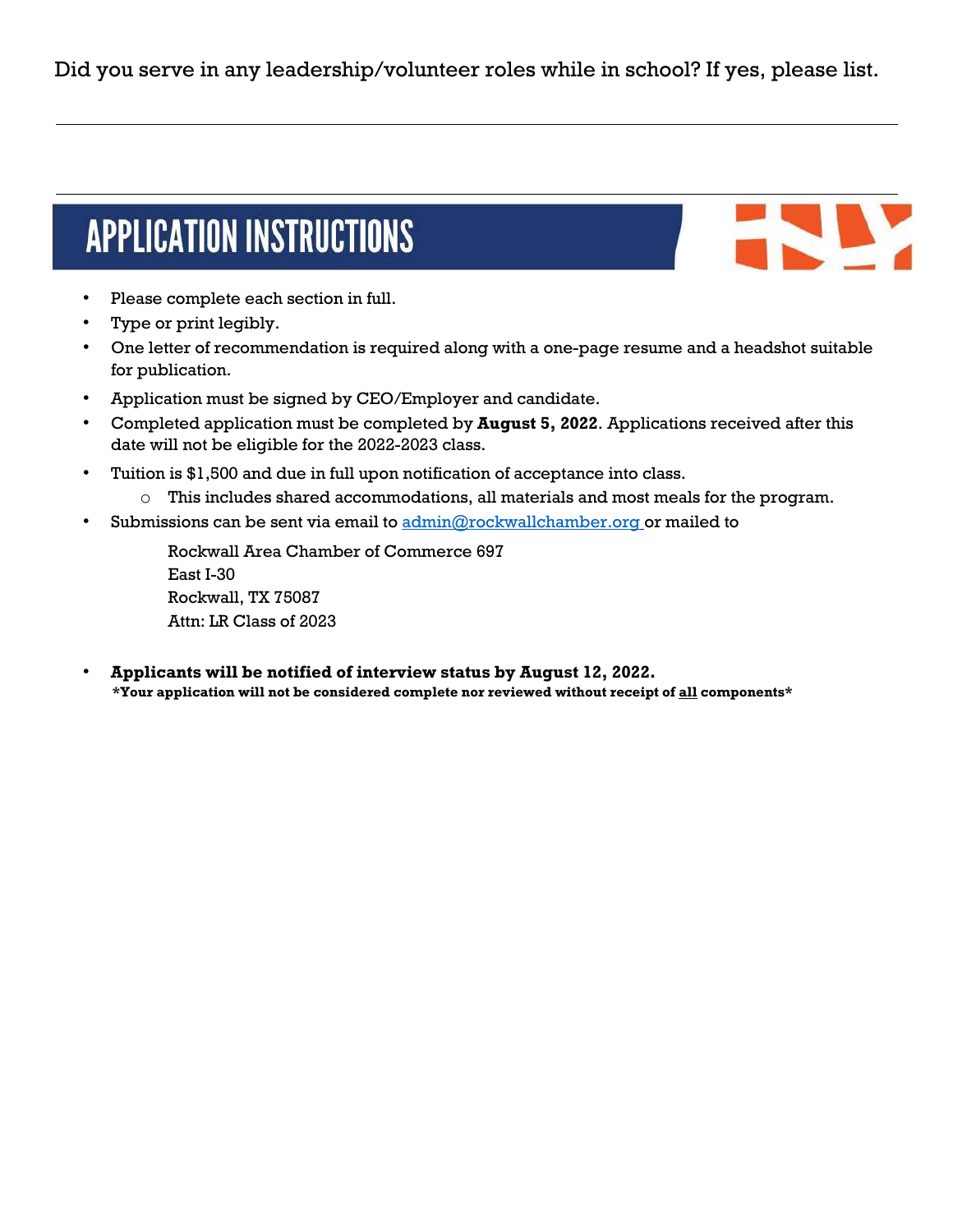Did you serve in any leadership/volunteer roles while in school? If yes, please list.

## **APPLICATION INSTRUCTIONS**

- Please complete each section in full.
- Type or print legibly.
- One letter of recommendation is required along with a one-page resume and a headshot suitable for publication.
- Application must be signed by CEO/Employer and candidate.
- Completed application must be completed by **August 5, 2022**. Applications received after this date will not be eligible for the 2022-2023 class.
- Tuition is \$1,500 and due in full upon notification of acceptance into class.
	- o This includes shared accommodations, all materials and most meals for the program.
- Submissions can be sent via email to [admin@rockwallchamber.org](mailto:admin@rockwallchamber.org) or mailed to

Rockwall Area Chamber of Commerce 697 East I-30 Rockwall, TX 75087 Attn: LR Class of 2023

• **Applicants will be notified of interview status by August 12, 2022. \*Your application will not be considered complete nor reviewed without receipt of all components\***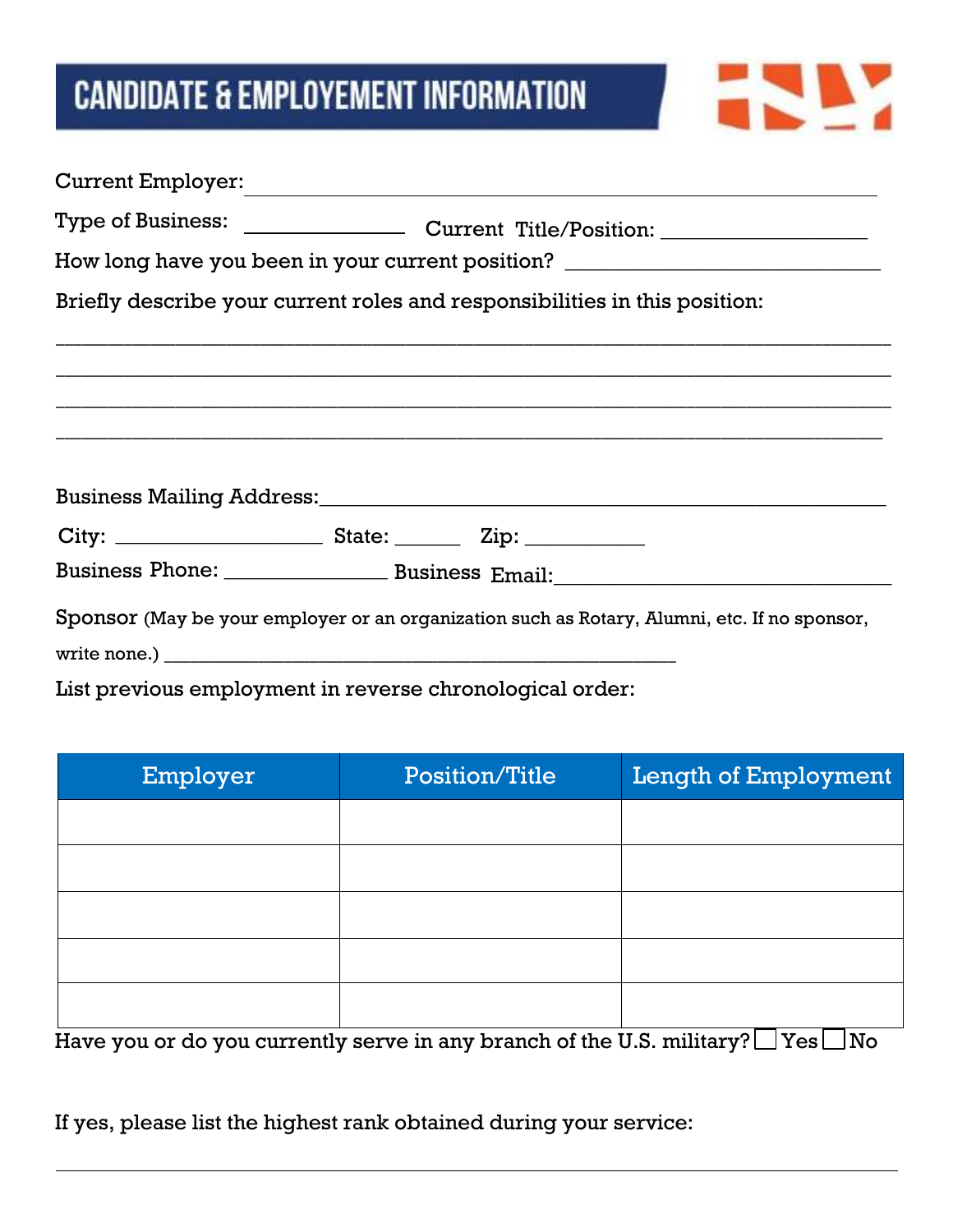## **CANDIDATE & EMPLOYEMENT INFORMATION**

| Current Employer:                                                                |  |  |                                                                                              |
|----------------------------------------------------------------------------------|--|--|----------------------------------------------------------------------------------------------|
|                                                                                  |  |  |                                                                                              |
| How long have you been in your current position? _______________________________ |  |  |                                                                                              |
| Briefly describe your current roles and responsibilities in this position:       |  |  |                                                                                              |
|                                                                                  |  |  |                                                                                              |
|                                                                                  |  |  |                                                                                              |
|                                                                                  |  |  |                                                                                              |
|                                                                                  |  |  |                                                                                              |
|                                                                                  |  |  |                                                                                              |
|                                                                                  |  |  |                                                                                              |
|                                                                                  |  |  |                                                                                              |
|                                                                                  |  |  | Sponsor (May be your employer or an organization such as Rotary, Alumni, etc. If no sponsor, |
|                                                                                  |  |  |                                                                                              |
| List previous employment in reverse chronological order:                         |  |  |                                                                                              |

**REP** 

Employer Position/Title Length of Employment

Have you or do you currently serve in any branch of the U.S. military?  $\Box$  Yes  $\Box$  No

If yes, please list the highest rank obtained during your service: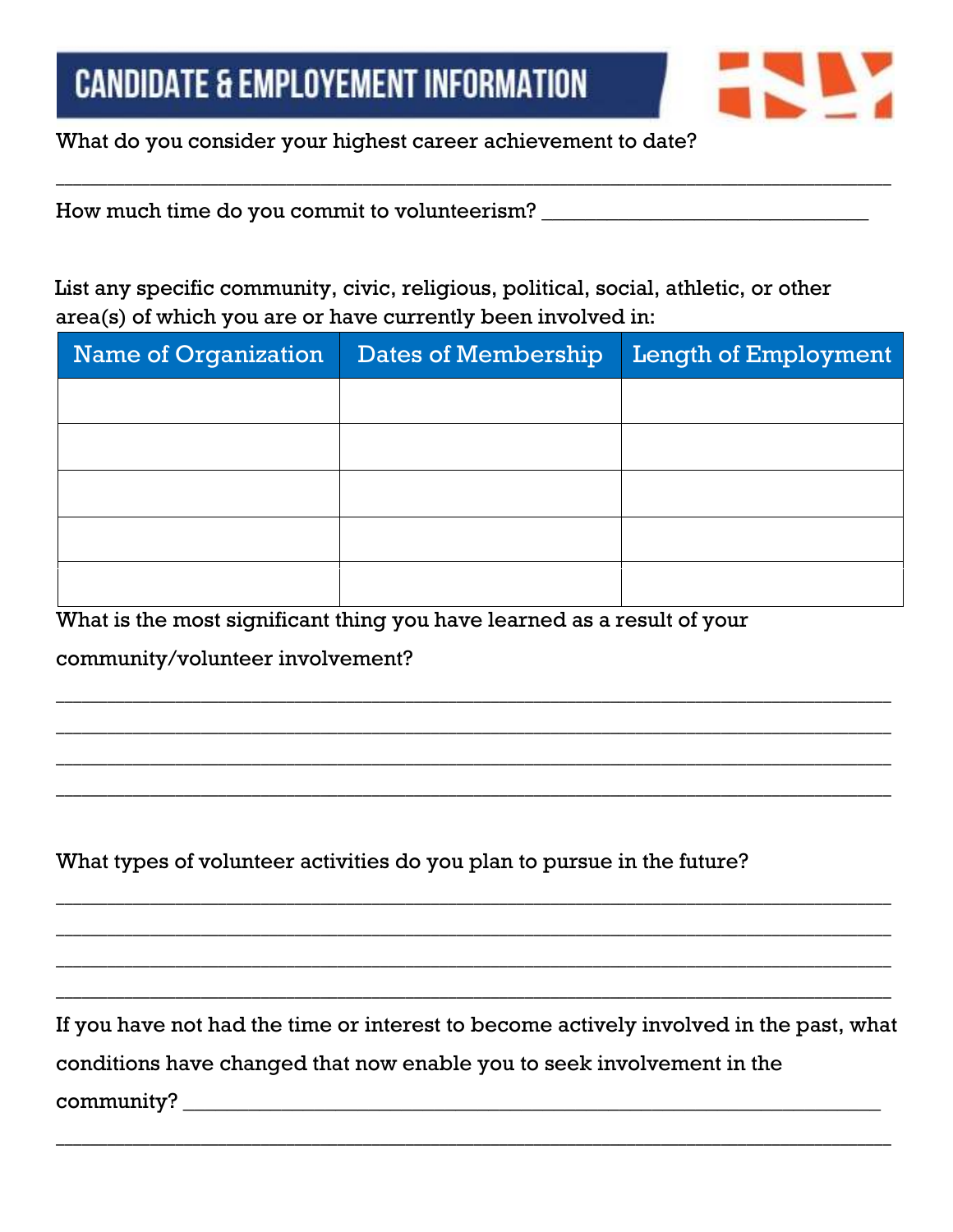

What do you consider your highest career achievement to date?

How much time do you commit to volunteerism? \_\_\_\_\_\_\_\_\_\_\_\_\_\_\_\_\_\_\_\_\_\_\_\_\_\_\_\_\_\_\_\_\_\_\_

List any specific community, civic, religious, political, social, athletic, or other area(s) of which you are or have currently been involved in:

\_\_\_\_\_\_\_\_\_\_\_\_\_\_\_\_\_\_\_\_\_\_\_\_\_\_\_\_\_\_\_\_\_\_\_\_\_\_\_\_\_\_\_\_\_\_\_\_\_\_\_\_\_\_\_\_\_\_\_\_\_\_\_\_\_\_\_\_\_\_\_\_\_\_\_\_\_\_\_\_\_\_\_\_\_\_\_\_\_\_\_\_\_\_\_\_\_\_

| <b>Name of Organization</b> | Dates of Membership | Length of Employment |
|-----------------------------|---------------------|----------------------|
|                             |                     |                      |
|                             |                     |                      |
|                             |                     |                      |
|                             |                     |                      |
|                             |                     |                      |

\_\_\_\_\_\_\_\_\_\_\_\_\_\_\_\_\_\_\_\_\_\_\_\_\_\_\_\_\_\_\_\_\_\_\_\_\_\_\_\_\_\_\_\_\_\_\_\_\_\_\_\_\_\_\_\_\_\_\_\_\_\_\_\_\_\_\_\_\_\_\_\_\_\_\_\_\_\_\_\_\_\_\_\_\_\_\_\_\_\_\_\_\_\_\_\_\_\_

\_\_\_\_\_\_\_\_\_\_\_\_\_\_\_\_\_\_\_\_\_\_\_\_\_\_\_\_\_\_\_\_\_\_\_\_\_\_\_\_\_\_\_\_\_\_\_\_\_\_\_\_\_\_\_\_\_\_\_\_\_\_\_\_\_\_\_\_\_\_\_\_\_\_\_\_\_\_\_\_\_\_\_\_\_\_\_\_\_\_\_\_\_\_\_\_\_\_

\_\_\_\_\_\_\_\_\_\_\_\_\_\_\_\_\_\_\_\_\_\_\_\_\_\_\_\_\_\_\_\_\_\_\_\_\_\_\_\_\_\_\_\_\_\_\_\_\_\_\_\_\_\_\_\_\_\_\_\_\_\_\_\_\_\_\_\_\_\_\_\_\_\_\_\_\_\_\_\_\_\_\_\_\_\_\_\_\_\_\_\_\_\_\_\_\_\_

\_\_\_\_\_\_\_\_\_\_\_\_\_\_\_\_\_\_\_\_\_\_\_\_\_\_\_\_\_\_\_\_\_\_\_\_\_\_\_\_\_\_\_\_\_\_\_\_\_\_\_\_\_\_\_\_\_\_\_\_\_\_\_\_\_\_\_\_\_\_\_\_\_\_\_\_\_\_\_\_\_\_\_\_\_\_\_\_\_\_\_\_\_\_\_\_\_\_

\_\_\_\_\_\_\_\_\_\_\_\_\_\_\_\_\_\_\_\_\_\_\_\_\_\_\_\_\_\_\_\_\_\_\_\_\_\_\_\_\_\_\_\_\_\_\_\_\_\_\_\_\_\_\_\_\_\_\_\_\_\_\_\_\_\_\_\_\_\_\_\_\_\_\_\_\_\_\_\_\_\_\_\_\_\_\_\_\_\_\_\_\_\_\_\_\_\_

\_\_\_\_\_\_\_\_\_\_\_\_\_\_\_\_\_\_\_\_\_\_\_\_\_\_\_\_\_\_\_\_\_\_\_\_\_\_\_\_\_\_\_\_\_\_\_\_\_\_\_\_\_\_\_\_\_\_\_\_\_\_\_\_\_\_\_\_\_\_\_\_\_\_\_\_\_\_\_\_\_\_\_\_\_\_\_\_\_\_\_\_\_\_\_\_\_\_

\_\_\_\_\_\_\_\_\_\_\_\_\_\_\_\_\_\_\_\_\_\_\_\_\_\_\_\_\_\_\_\_\_\_\_\_\_\_\_\_\_\_\_\_\_\_\_\_\_\_\_\_\_\_\_\_\_\_\_\_\_\_\_\_\_\_\_\_\_\_\_\_\_\_\_\_\_\_\_\_\_\_\_\_\_\_\_\_\_\_\_\_\_\_\_\_\_\_

\_\_\_\_\_\_\_\_\_\_\_\_\_\_\_\_\_\_\_\_\_\_\_\_\_\_\_\_\_\_\_\_\_\_\_\_\_\_\_\_\_\_\_\_\_\_\_\_\_\_\_\_\_\_\_\_\_\_\_\_\_\_\_\_\_\_\_\_\_\_\_\_\_\_\_\_\_\_\_\_\_\_\_\_\_\_\_\_\_\_\_\_\_\_\_\_\_\_

What is the most significant thing you have learned as a result of your

community/volunteer involvement?

What types of volunteer activities do you plan to pursue in the future?

If you have not had the time or interest to become actively involved in the past, what conditions have changed that now enable you to seek involvement in the community?

\_\_\_\_\_\_\_\_\_\_\_\_\_\_\_\_\_\_\_\_\_\_\_\_\_\_\_\_\_\_\_\_\_\_\_\_\_\_\_\_\_\_\_\_\_\_\_\_\_\_\_\_\_\_\_\_\_\_\_\_\_\_\_\_\_\_\_\_\_\_\_\_\_\_\_\_\_\_\_\_\_\_\_\_\_\_\_\_\_\_\_\_\_\_\_\_\_\_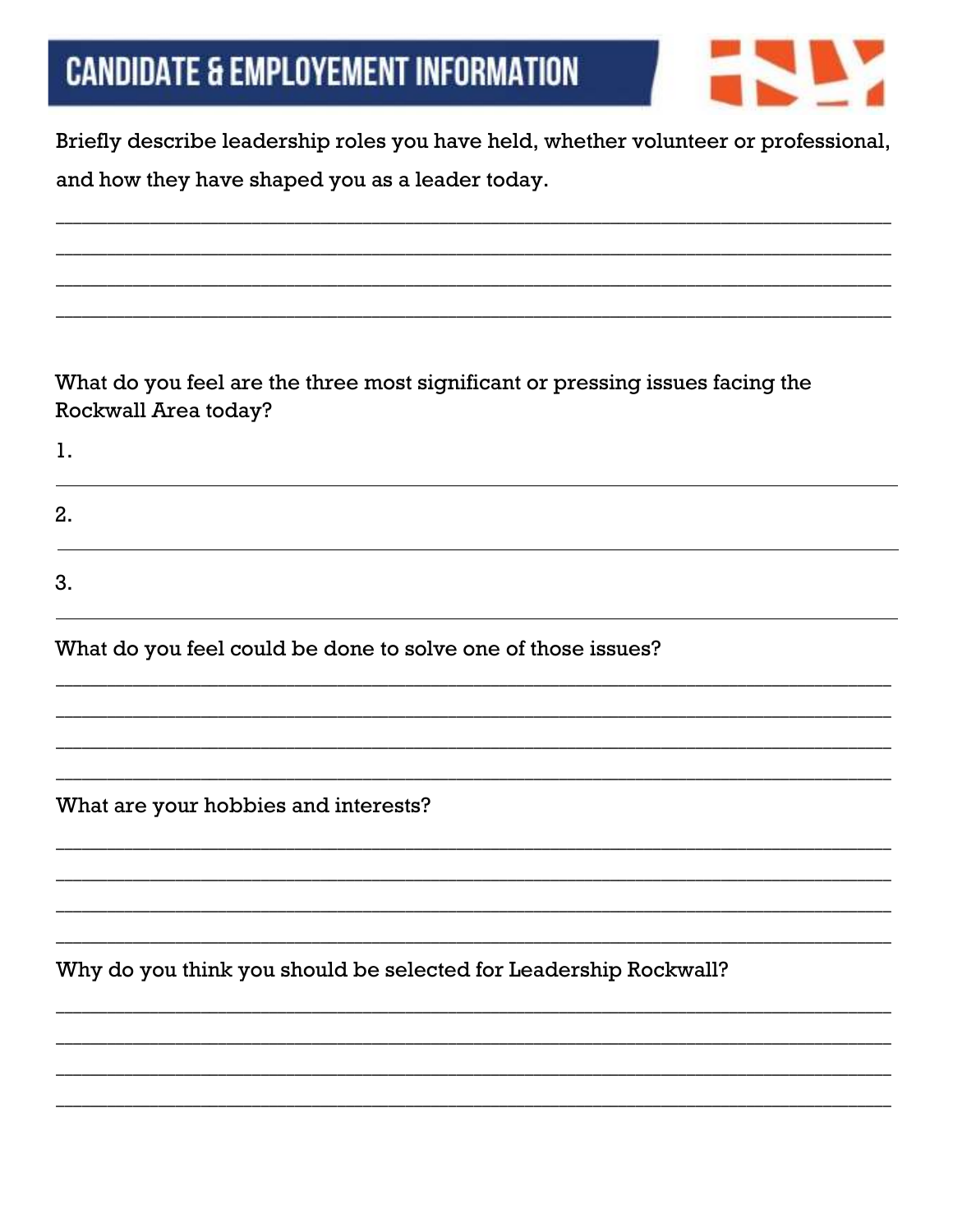|  |  | Candidate & Employement Information |  |  |
|--|--|-------------------------------------|--|--|
|--|--|-------------------------------------|--|--|



Briefly describe leadership roles you have held, whether volunteer or professional, and how they have shaped you as a leader today.

What do you feel are the three most significant or pressing issues facing the Rockwall Area today?

 $\mathbf{1}$ .  $2.$ 3.

What do you feel could be done to solve one of those issues?

What are your hobbies and interests?

Why do you think you should be selected for Leadership Rockwall?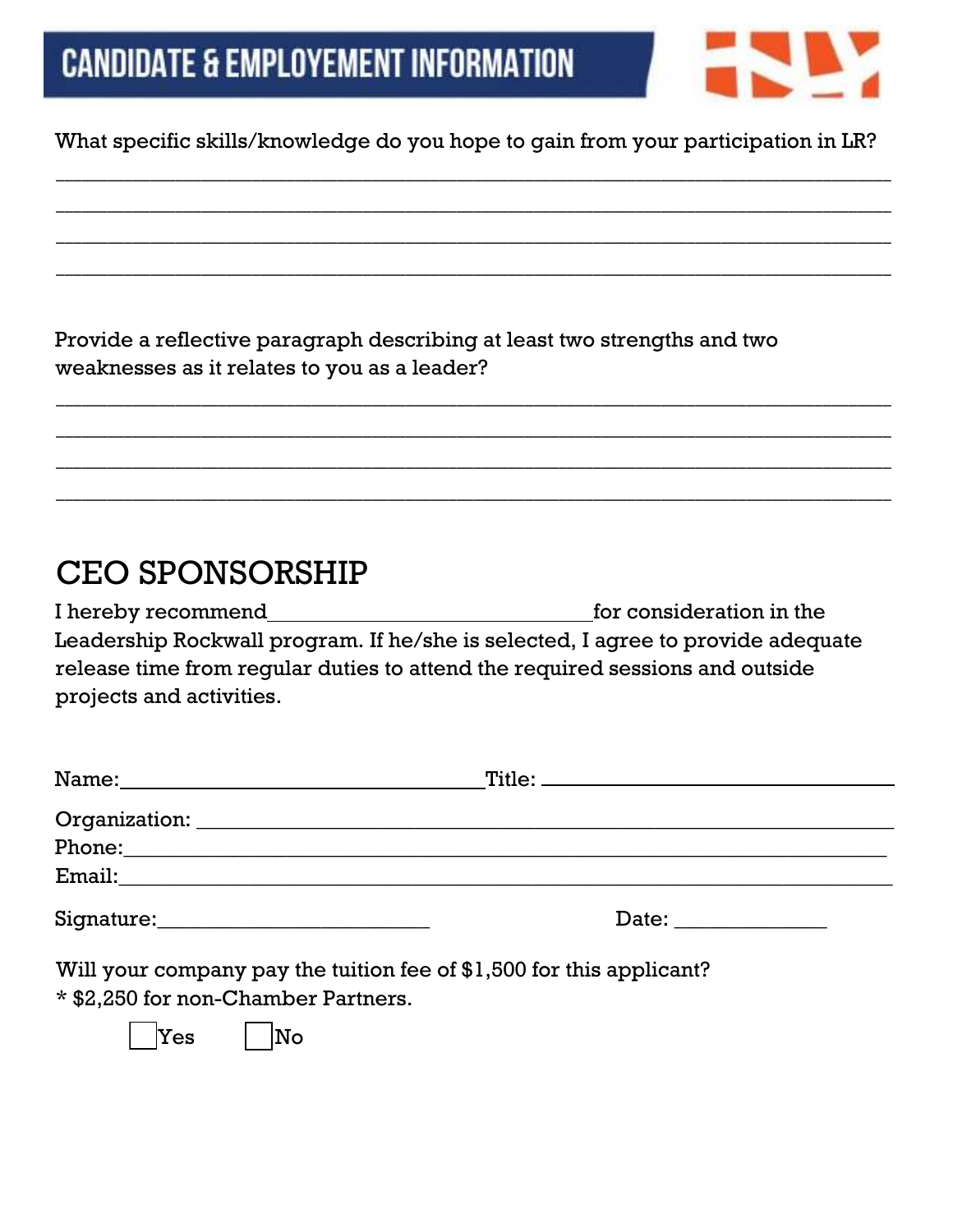

#### What specific skills/knowledge do you hope to gain from your participation in LR?

\_\_\_\_\_\_\_\_\_\_\_\_\_\_\_\_\_\_\_\_\_\_\_\_\_\_\_\_\_\_\_\_\_\_\_\_\_\_\_\_\_\_\_\_\_\_\_\_\_\_\_\_\_\_\_\_\_\_\_\_\_\_\_\_\_\_\_\_\_\_\_\_\_\_\_\_\_\_\_\_\_\_\_\_\_\_\_\_\_\_\_\_\_\_\_\_\_\_

\_\_\_\_\_\_\_\_\_\_\_\_\_\_\_\_\_\_\_\_\_\_\_\_\_\_\_\_\_\_\_\_\_\_\_\_\_\_\_\_\_\_\_\_\_\_\_\_\_\_\_\_\_\_\_\_\_\_\_\_\_\_\_\_\_\_\_\_\_\_\_\_\_\_\_\_\_\_\_\_\_\_\_\_\_\_\_\_\_\_\_\_\_\_\_\_\_\_

\_\_\_\_\_\_\_\_\_\_\_\_\_\_\_\_\_\_\_\_\_\_\_\_\_\_\_\_\_\_\_\_\_\_\_\_\_\_\_\_\_\_\_\_\_\_\_\_\_\_\_\_\_\_\_\_\_\_\_\_\_\_\_\_\_\_\_\_\_\_\_\_\_\_\_\_\_\_\_\_\_\_\_\_\_\_\_\_\_\_\_\_\_\_\_\_\_\_

\_\_\_\_\_\_\_\_\_\_\_\_\_\_\_\_\_\_\_\_\_\_\_\_\_\_\_\_\_\_\_\_\_\_\_\_\_\_\_\_\_\_\_\_\_\_\_\_\_\_\_\_\_\_\_\_\_\_\_\_\_\_\_\_\_\_\_\_\_\_\_\_\_\_\_\_\_\_\_\_\_\_\_\_\_\_\_\_\_\_\_\_\_\_\_\_\_\_

\_\_\_\_\_\_\_\_\_\_\_\_\_\_\_\_\_\_\_\_\_\_\_\_\_\_\_\_\_\_\_\_\_\_\_\_\_\_\_\_\_\_\_\_\_\_\_\_\_\_\_\_\_\_\_\_\_\_\_\_\_\_\_\_\_\_\_\_\_\_\_\_\_\_\_\_\_\_\_\_\_\_\_\_\_\_\_\_\_\_\_\_\_\_\_\_\_\_

\_\_\_\_\_\_\_\_\_\_\_\_\_\_\_\_\_\_\_\_\_\_\_\_\_\_\_\_\_\_\_\_\_\_\_\_\_\_\_\_\_\_\_\_\_\_\_\_\_\_\_\_\_\_\_\_\_\_\_\_\_\_\_\_\_\_\_\_\_\_\_\_\_\_\_\_\_\_\_\_\_\_\_\_\_\_\_\_\_\_\_\_\_\_\_\_\_\_

\_\_\_\_\_\_\_\_\_\_\_\_\_\_\_\_\_\_\_\_\_\_\_\_\_\_\_\_\_\_\_\_\_\_\_\_\_\_\_\_\_\_\_\_\_\_\_\_\_\_\_\_\_\_\_\_\_\_\_\_\_\_\_\_\_\_\_\_\_\_\_\_\_\_\_\_\_\_\_\_\_\_\_\_\_\_\_\_\_\_\_\_\_\_\_\_\_\_

\_\_\_\_\_\_\_\_\_\_\_\_\_\_\_\_\_\_\_\_\_\_\_\_\_\_\_\_\_\_\_\_\_\_\_\_\_\_\_\_\_\_\_\_\_\_\_\_\_\_\_\_\_\_\_\_\_\_\_\_\_\_\_\_\_\_\_\_\_\_\_\_\_\_\_\_\_\_\_\_\_\_\_\_\_\_\_\_\_\_\_\_\_\_\_\_\_\_

Provide a reflective paragraph describing at least two strengths and two weaknesses as it relates to you as a leader?

### CEO SPONSORSHIP

I hereby recommend for consideration in the Leadership Rockwall program. If he/she is selected, I agree to provide adequate release time from regular duties to attend the required sessions and outside projects and activities.

| Date: and the set of the set of the set of the set of the set of the set of the set of the set of the set of the set of the set of the set of the set of the set of the set of the set of the set of the set of the set of the |  |
|--------------------------------------------------------------------------------------------------------------------------------------------------------------------------------------------------------------------------------|--|

Will your company pay the tuition fee of \$1,500 for this applicant? \* \$2,250 for non-Chamber Partners.

|  | lNo |
|--|-----|
|--|-----|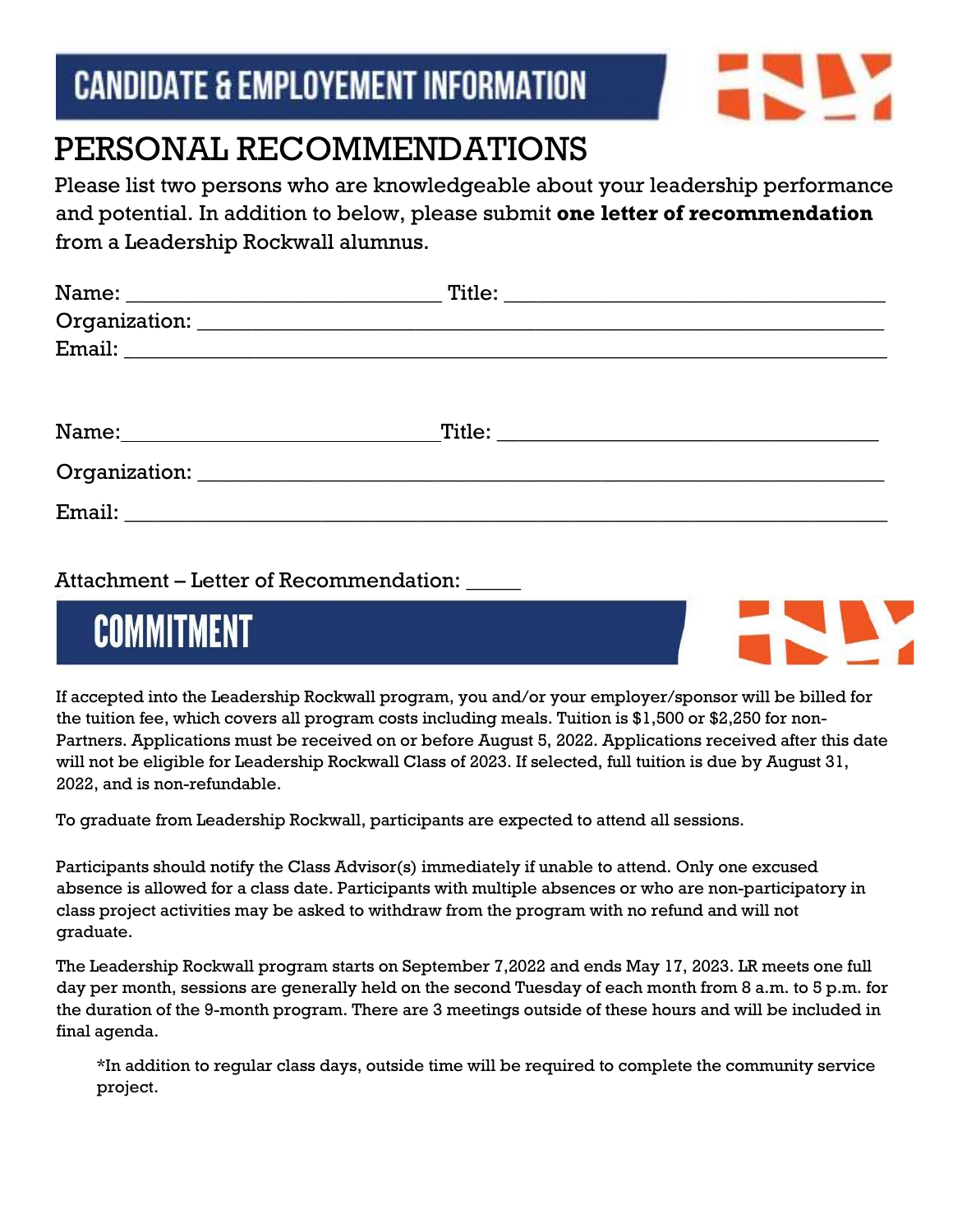### **CANDIDATE & EMPLOYEMENT INFORMATION**



### PERSONAL RECOMMENDATIONS

Please list two persons who are knowledgeable about your leadership performance and potential. In addition to below, please submit **one letter of recommendation**  from a Leadership Rockwall alumnus.

| Name: Name and the second state of the second state of the second state of the second state of the second state of the second state of the second state of the second state of the second state of the second state of the sec |  |
|--------------------------------------------------------------------------------------------------------------------------------------------------------------------------------------------------------------------------------|--|
|                                                                                                                                                                                                                                |  |
|                                                                                                                                                                                                                                |  |

Attachment – Letter of Recommendation: \_\_\_\_\_

## **COMMITMENT**



If accepted into the Leadership Rockwall program, you and/or your employer/sponsor will be billed for the tuition fee, which covers all program costs including meals. Tuition is \$1,500 or \$2,250 for non-Partners. Applications must be received on or before August 5, 2022. Applications received after this date will not be eligible for Leadership Rockwall Class of 2023. If selected, full tuition is due by August 31, 2022, and is non-refundable.

To graduate from Leadership Rockwall, participants are expected to attend all sessions.

Participants should notify the Class Advisor(s) immediately if unable to attend. Only one excused absence is allowed for a class date. Participants with multiple absences or who are non-participatory in class project activities may be asked to withdraw from the program with no refund and will not graduate.

The Leadership Rockwall program starts on September 7,2022 and ends May 17, 2023. LR meets one full day per month, sessions are generally held on the second Tuesday of each month from 8 a.m. to 5 p.m. for the duration of the 9-month program. There are 3 meetings outside of these hours and will be included in final agenda.

\*In addition to regular class days, outside time will be required to complete the community service project.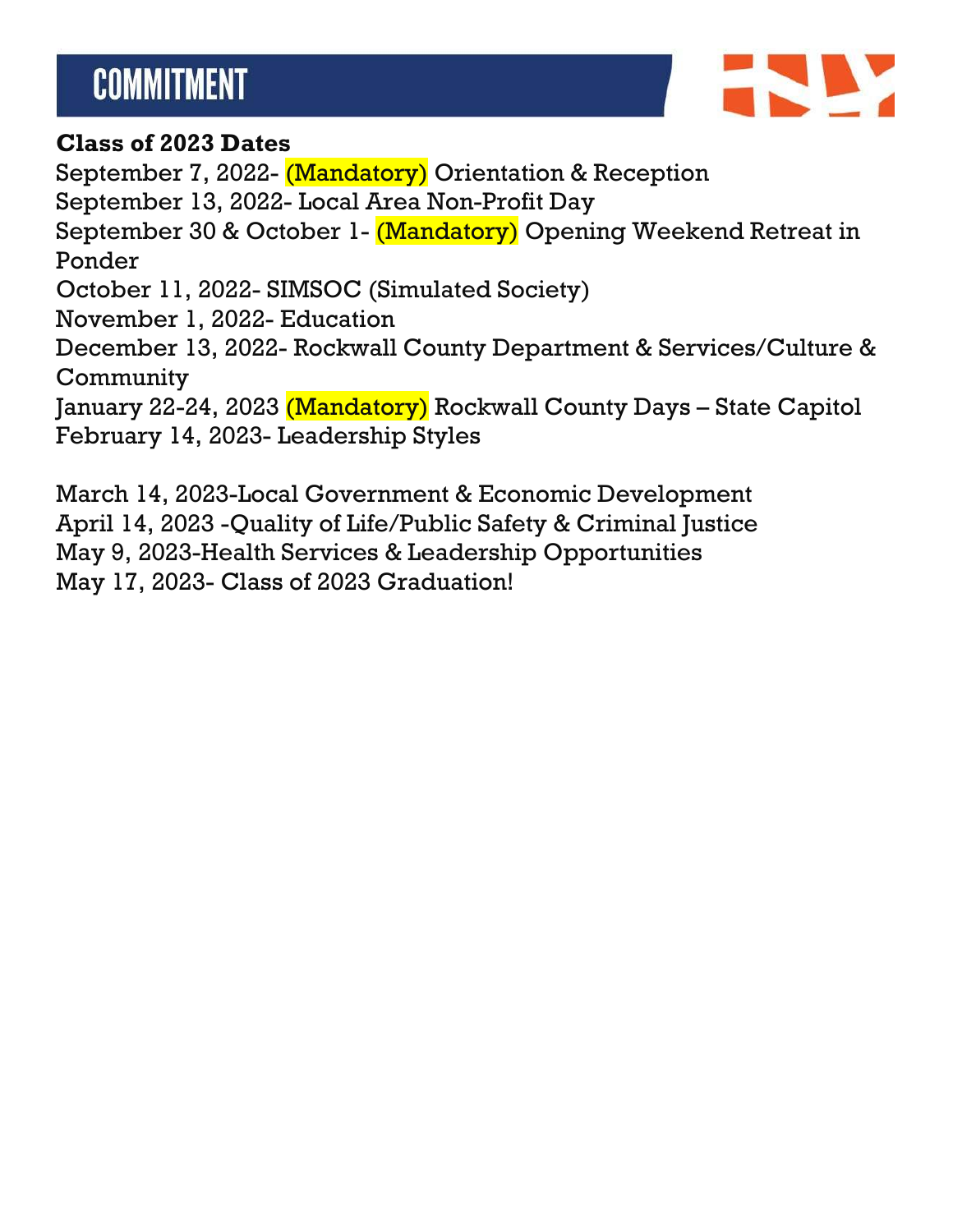## **COMMITMENT**



#### **Class of 2023 Dates**

September 7, 2022- (Mandatory) Orientation & Reception September 13, 2022- Local Area Non-Profit Day September 30 & October 1- (Mandatory) Opening Weekend Retreat in Ponder October 11, 2022- SIMSOC (Simulated Society) November 1, 2022- Education December 13, 2022- Rockwall County Department & Services/Culture & **Community** January 22-24, 2023 (Mandatory) Rockwall County Days – State Capitol February 14, 2023- Leadership Styles

March 14, 2023-Local Government & Economic Development April 14, 2023 -Quality of Life/Public Safety & Criminal Justice May 9, 2023-Health Services & Leadership Opportunities May 17, 2023- Class of 2023 Graduation!